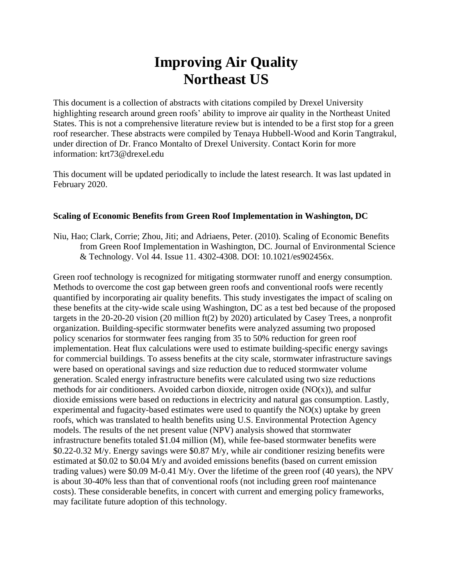## **Improving Air Quality Northeast US**

This document is a collection of abstracts with citations compiled by Drexel University highlighting research around green roofs' ability to improve air quality in the Northeast United States. This is not a comprehensive literature review but is intended to be a first stop for a green roof researcher. These abstracts were compiled by Tenaya Hubbell-Wood and Korin Tangtrakul, under direction of Dr. Franco Montalto of Drexel University. Contact Korin for more information: krt73@drexel.edu

This document will be updated periodically to include the latest research. It was last updated in February 2020.

## **Scaling of Economic Benefits from Green Roof Implementation in Washington, DC**

Niu, Hao; Clark, Corrie; Zhou, Jiti; and Adriaens, Peter. (2010). Scaling of Economic Benefits from Green Roof Implementation in Washington, DC. Journal of Environmental Science & Technology. Vol 44. Issue 11. 4302-4308. DOI: 10.1021/es902456x.

Green roof technology is recognized for mitigating stormwater runoff and energy consumption. Methods to overcome the cost gap between green roofs and conventional roofs were recently quantified by incorporating air quality benefits. This study investigates the impact of scaling on these benefits at the city-wide scale using Washington, DC as a test bed because of the proposed targets in the 20-20-20 vision (20 million ft(2) by 2020) articulated by Casey Trees, a nonprofit organization. Building-specific stormwater benefits were analyzed assuming two proposed policy scenarios for stormwater fees ranging from 35 to 50% reduction for green roof implementation. Heat flux calculations were used to estimate building-specific energy savings for commercial buildings. To assess benefits at the city scale, stormwater infrastructure savings were based on operational savings and size reduction due to reduced stormwater volume generation. Scaled energy infrastructure benefits were calculated using two size reductions methods for air conditioners. Avoided carbon dioxide, nitrogen oxide  $(NO(x))$ , and sulfur dioxide emissions were based on reductions in electricity and natural gas consumption. Lastly, experimental and fugacity-based estimates were used to quantify the  $NO(x)$  uptake by green roofs, which was translated to health benefits using U.S. Environmental Protection Agency models. The results of the net present value (NPV) analysis showed that stormwater infrastructure benefits totaled \$1.04 million (M), while fee-based stormwater benefits were \$0.22-0.32 M/y. Energy savings were \$0.87 M/y, while air conditioner resizing benefits were estimated at \$0.02 to \$0.04 M/y and avoided emissions benefits (based on current emission trading values) were \$0.09 M-0.41 M/y. Over the lifetime of the green roof (40 years), the NPV is about 30-40% less than that of conventional roofs (not including green roof maintenance costs). These considerable benefits, in concert with current and emerging policy frameworks, may facilitate future adoption of this technology.